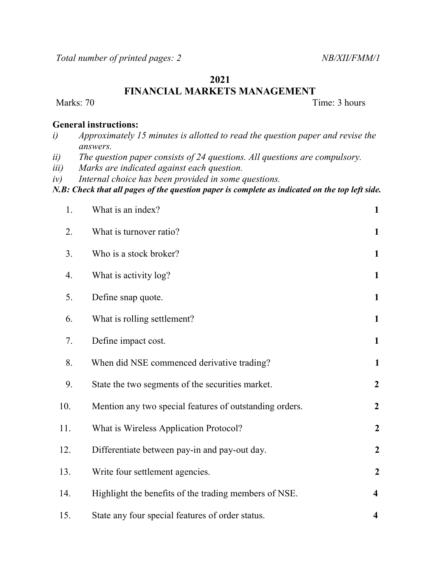## 2021

FINANCIAL MARKETS MANAGEMENT

Marks: 70 Time: 3 hours

## General instructions:

- i) Approximately 15 minutes is allotted to read the question paper and revise the answers.
- ii) The question paper consists of 24 questions. All questions are compulsory.
- iii) Marks are indicated against each question.
- iv) Internal choice has been provided in some questions.

N.B: Check that all pages of the question paper is complete as indicated on the top left side.

| 1.  | What is an index?                                       | $\mathbf{1}$            |
|-----|---------------------------------------------------------|-------------------------|
| 2.  | What is turnover ratio?                                 | $\mathbf{1}$            |
| 3.  | Who is a stock broker?                                  | $\mathbf{1}$            |
| 4.  | What is activity log?                                   | $\mathbf{1}$            |
| 5.  | Define snap quote.                                      | $\mathbf{1}$            |
| 6.  | What is rolling settlement?                             | $\mathbf{1}$            |
| 7.  | Define impact cost.                                     | $\mathbf{1}$            |
| 8.  | When did NSE commenced derivative trading?              | 1                       |
| 9.  | State the two segments of the securities market.        | $\boldsymbol{2}$        |
| 10. | Mention any two special features of outstanding orders. | $\boldsymbol{2}$        |
| 11. | What is Wireless Application Protocol?                  | $\overline{2}$          |
| 12. | Differentiate between pay-in and pay-out day.           | $\overline{2}$          |
| 13. | Write four settlement agencies.                         | $\boldsymbol{2}$        |
| 14. | Highlight the benefits of the trading members of NSE.   | $\overline{\mathbf{4}}$ |
| 15. | State any four special features of order status.        | 4                       |